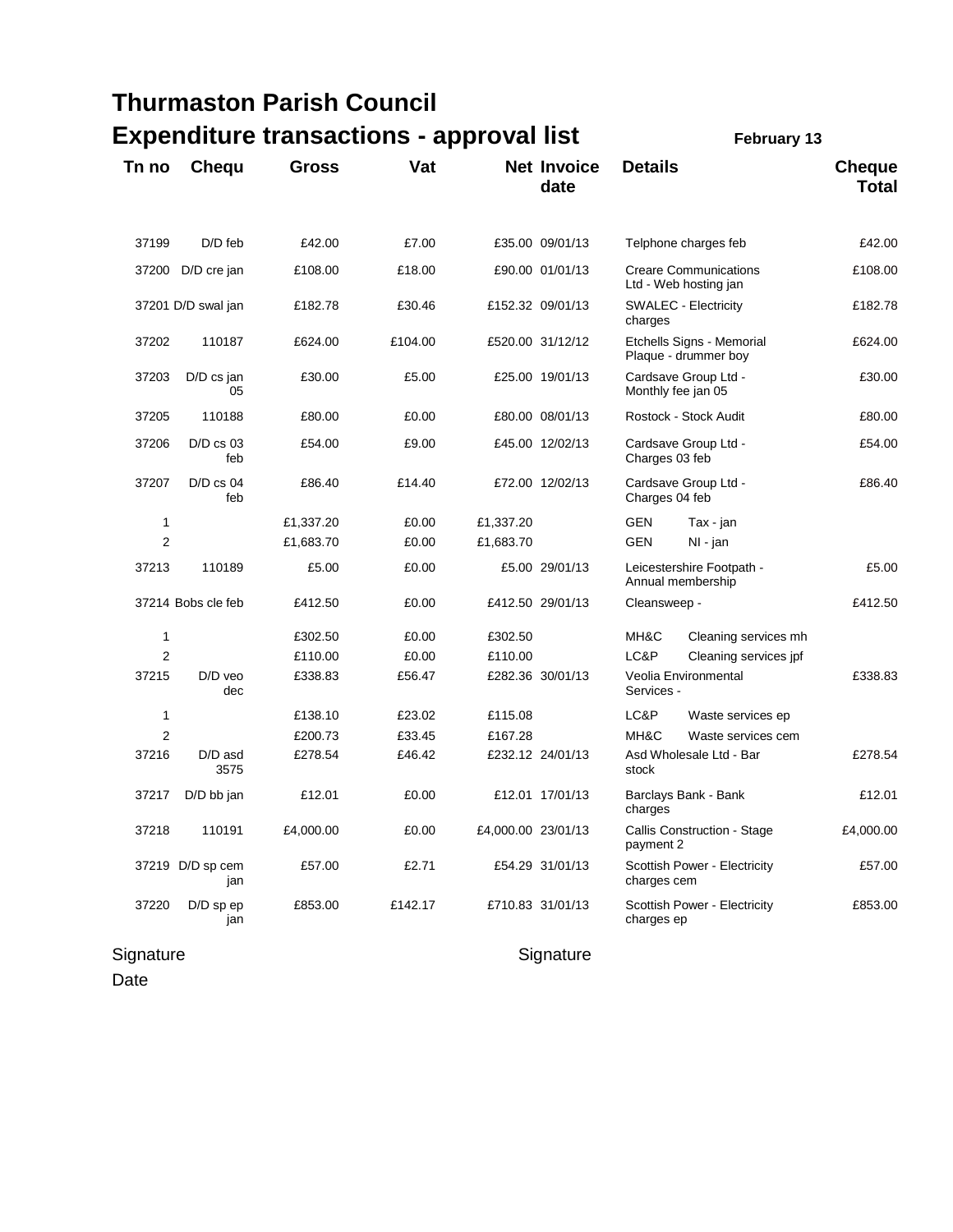|                                                                       |                         | <b>Thurmaston Parish Council</b> |         |                    |                            |                                                       |                                                   |                               |  |
|-----------------------------------------------------------------------|-------------------------|----------------------------------|---------|--------------------|----------------------------|-------------------------------------------------------|---------------------------------------------------|-------------------------------|--|
| <b>Expenditure transactions - approval list</b><br><b>February 13</b> |                         |                                  |         |                    |                            |                                                       |                                                   |                               |  |
| Tn no                                                                 | Chequ                   | <b>Gross</b>                     | Vat     |                    | <b>Net Invoice</b><br>date | <b>Details</b>                                        |                                                   | <b>Cheque</b><br><b>Total</b> |  |
| 37199                                                                 | $D/D$ feb               | £42.00                           | £7.00   |                    | £35.00 09/01/13            |                                                       | Telphone charges feb                              | £42.00                        |  |
| 37200                                                                 | D/D cre jan             | £108.00                          | £18.00  |                    | £90.00 01/01/13            | <b>Creare Communications</b><br>Ltd - Web hosting jan |                                                   | £108.00                       |  |
|                                                                       | 37201 D/D swal jan      | £182.78                          | £30.46  |                    | £152.32 09/01/13           | charges                                               | <b>SWALEC - Electricity</b>                       | £182.78                       |  |
| 37202                                                                 | 110187                  | £624.00                          | £104.00 |                    | £520.00 31/12/12           |                                                       | Etchells Signs - Memorial<br>Plaque - drummer boy | £624.00                       |  |
| 37203                                                                 | D/D cs jan<br>05        | £30.00                           | £5.00   |                    | £25.00 19/01/13            | Cardsave Group Ltd -<br>Monthly fee jan 05            |                                                   | £30.00                        |  |
| 37205                                                                 | 110188                  | £80.00                           | £0.00   |                    | £80.00 08/01/13            |                                                       | Rostock - Stock Audit                             | £80.00                        |  |
| 37206                                                                 | $D/D$ cs 03<br>feb      | £54.00                           | £9.00   |                    | £45.00 12/02/13            | Cardsave Group Ltd -<br>Charges 03 feb                |                                                   | £54.00                        |  |
| 37207                                                                 | $D/D$ cs 04<br>feb      | £86.40                           | £14.40  |                    | £72.00 12/02/13            | Cardsave Group Ltd -<br>Charges 04 feb                |                                                   | £86.40                        |  |
| 1                                                                     |                         | £1,337.20                        | £0.00   | £1,337.20          |                            | GEN                                                   | Tax - jan                                         |                               |  |
| $\overline{2}$                                                        |                         | £1,683.70                        | £0.00   | £1,683.70          |                            | GEN                                                   | NI - jan                                          |                               |  |
| 37213                                                                 | 110189                  | £5.00                            | £0.00   |                    | £5.00 29/01/13             | Leicestershire Footpath -<br>Annual membership        |                                                   | £5.00                         |  |
|                                                                       | 37214 Bobs cle feb      | £412.50                          | £0.00   |                    | £412.50 29/01/13           | Cleansweep -                                          |                                                   | £412.50                       |  |
| 1                                                                     |                         | £302.50                          | £0.00   | £302.50            |                            | MH&C                                                  | Cleaning services mh                              |                               |  |
| $\overline{2}$                                                        |                         | £110.00                          | £0.00   | £110.00            |                            | LC&P                                                  | Cleaning services jpf                             |                               |  |
| 37215                                                                 | $D/D$ veo<br>dec        | £338.83                          | £56.47  |                    | £282.36 30/01/13           | Services -                                            | Veolia Environmental                              | £338.83                       |  |
| 1                                                                     |                         | £138.10                          | £23.02  | £115.08            |                            | LC&P                                                  | Waste services ep                                 |                               |  |
| 2                                                                     |                         | £200.73                          | £33.45  | £167.28            |                            | MH&C                                                  | Waste services cem                                |                               |  |
| 37216                                                                 | D/D asd<br>3575         | £278.54                          | £46.42  |                    | £232.12 24/01/13           | Asd Wholesale Ltd - Bar<br>stock                      |                                                   | £278.54                       |  |
| 37217                                                                 | D/D bb jan              | £12.01                           | £0.00   |                    | £12.01 17/01/13            | Barclays Bank - Bank<br>charges                       |                                                   | £12.01                        |  |
| 37218                                                                 | 110191                  | £4,000.00                        | £0.00   | £4,000.00 23/01/13 |                            | Callis Construction - Stage<br>payment 2              |                                                   | £4,000.00                     |  |
|                                                                       | 37219 D/D sp cem<br>jan | £57.00                           | £2.71   |                    | £54.29 31/01/13            | Scottish Power - Electricity<br>charges cem           |                                                   | £57.00                        |  |
| 37220                                                                 | D/D sp ep<br>jan        | £853.00                          | £142.17 |                    | £710.83 31/01/13           | charges ep                                            | Scottish Power - Electricity                      | £853.00                       |  |

## Signature Signature Signature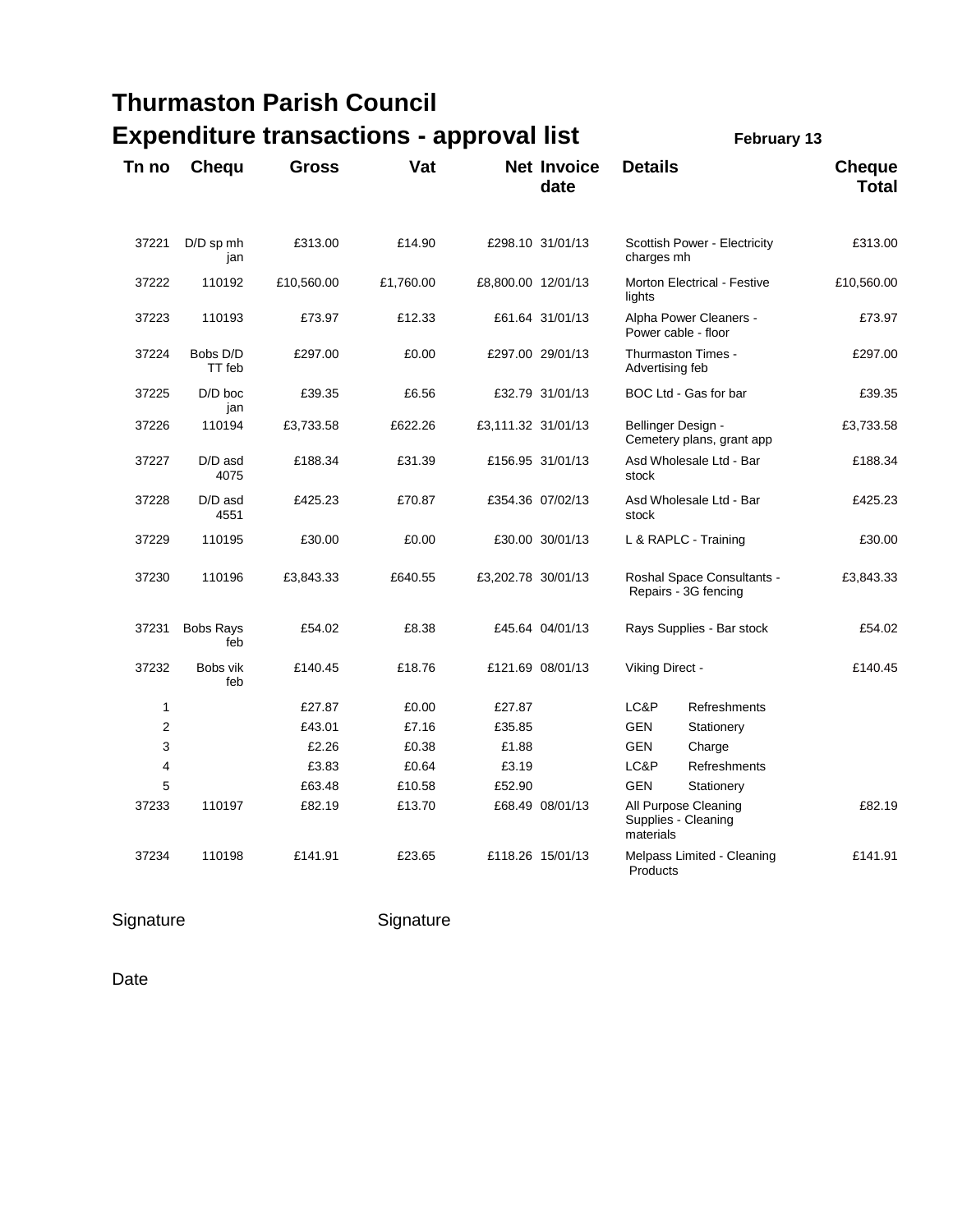|                |                         | <b>Thurmaston Parish Council</b>                |           |                    |                            |                                                          |              |                               |
|----------------|-------------------------|-------------------------------------------------|-----------|--------------------|----------------------------|----------------------------------------------------------|--------------|-------------------------------|
|                |                         | <b>Expenditure transactions - approval list</b> |           |                    |                            |                                                          | February 13  |                               |
| Tn no          | Chequ                   | <b>Gross</b>                                    | Vat       |                    | <b>Net Invoice</b><br>date | <b>Details</b>                                           |              | <b>Cheque</b><br><b>Total</b> |
| 37221          | $D/D$ sp mh<br>jan      | £313.00                                         | £14.90    |                    | £298.10 31/01/13           | Scottish Power - Electricity<br>charges mh               |              | £313.00                       |
| 37222          | 110192                  | £10,560.00                                      | £1,760.00 | £8,800.00 12/01/13 |                            | <b>Morton Electrical - Festive</b><br>lights             | £10,560.00   |                               |
| 37223          | 110193                  | £73.97                                          | £12.33    |                    | £61.64 31/01/13            | Alpha Power Cleaners -<br>Power cable - floor            | £73.97       |                               |
| 37224          | Bobs D/D<br>TT feb      | £297.00                                         | £0.00     |                    | £297.00 29/01/13           | Thurmaston Times -<br>Advertising feb                    | £297.00      |                               |
| 37225          | $D/D$ boc<br>jan        | £39.35                                          | £6.56     |                    | £32.79 31/01/13            | BOC Ltd - Gas for bar                                    | £39.35       |                               |
| 37226          | 110194                  | £3,733.58                                       | £622.26   | £3,111.32 31/01/13 |                            | Bellinger Design -<br>Cemetery plans, grant app          | £3,733.58    |                               |
| 37227          | D/D asd<br>4075         | £188.34                                         | £31.39    |                    | £156.95 31/01/13           | Asd Wholesale Ltd - Bar<br>stock                         |              | £188.34                       |
| 37228          | D/D asd<br>4551         | £425.23                                         | £70.87    |                    | £354.36 07/02/13           | Asd Wholesale Ltd - Bar<br>stock                         |              | £425.23                       |
| 37229          | 110195                  | £30.00                                          | £0.00     |                    | £30.00 30/01/13            | L & RAPLC - Training                                     |              | £30.00                        |
| 37230          | 110196                  | £3,843.33                                       | £640.55   | £3,202.78 30/01/13 |                            | Roshal Space Consultants -<br>Repairs - 3G fencing       |              | £3,843.33                     |
| 37231          | <b>Bobs Rays</b><br>feb | £54.02                                          | £8.38     |                    | £45.64 04/01/13            | Rays Supplies - Bar stock                                |              | £54.02                        |
| 37232          | Bobs vik<br>feb         | £140.45                                         | £18.76    |                    | £121.69 08/01/13           | Viking Direct -                                          |              | £140.45                       |
| 1              |                         | £27.87                                          | £0.00     | £27.87             |                            | LC&P                                                     | Refreshments |                               |
| $\overline{2}$ |                         | £43.01                                          | £7.16     | £35.85             |                            | <b>GEN</b>                                               | Stationery   |                               |
| 3              |                         | £2.26                                           | £0.38     | £1.88              |                            | <b>GEN</b>                                               | Charge       |                               |
| 4              |                         | £3.83                                           | £0.64     | £3.19              |                            | LC&P                                                     | Refreshments |                               |
| 5              |                         | £63.48                                          | £10.58    | £52.90             |                            | <b>GEN</b>                                               | Stationery   |                               |
| 37233          | 110197                  | £82.19                                          | £13.70    |                    | £68.49 08/01/13            | All Purpose Cleaning<br>Supplies - Cleaning<br>materials |              | £82.19                        |
| 37234          | 110198                  | £141.91                                         | £23.65    |                    | £118.26 15/01/13           | Melpass Limited - Cleaning<br>Products                   |              | £141.91                       |

Signature Signature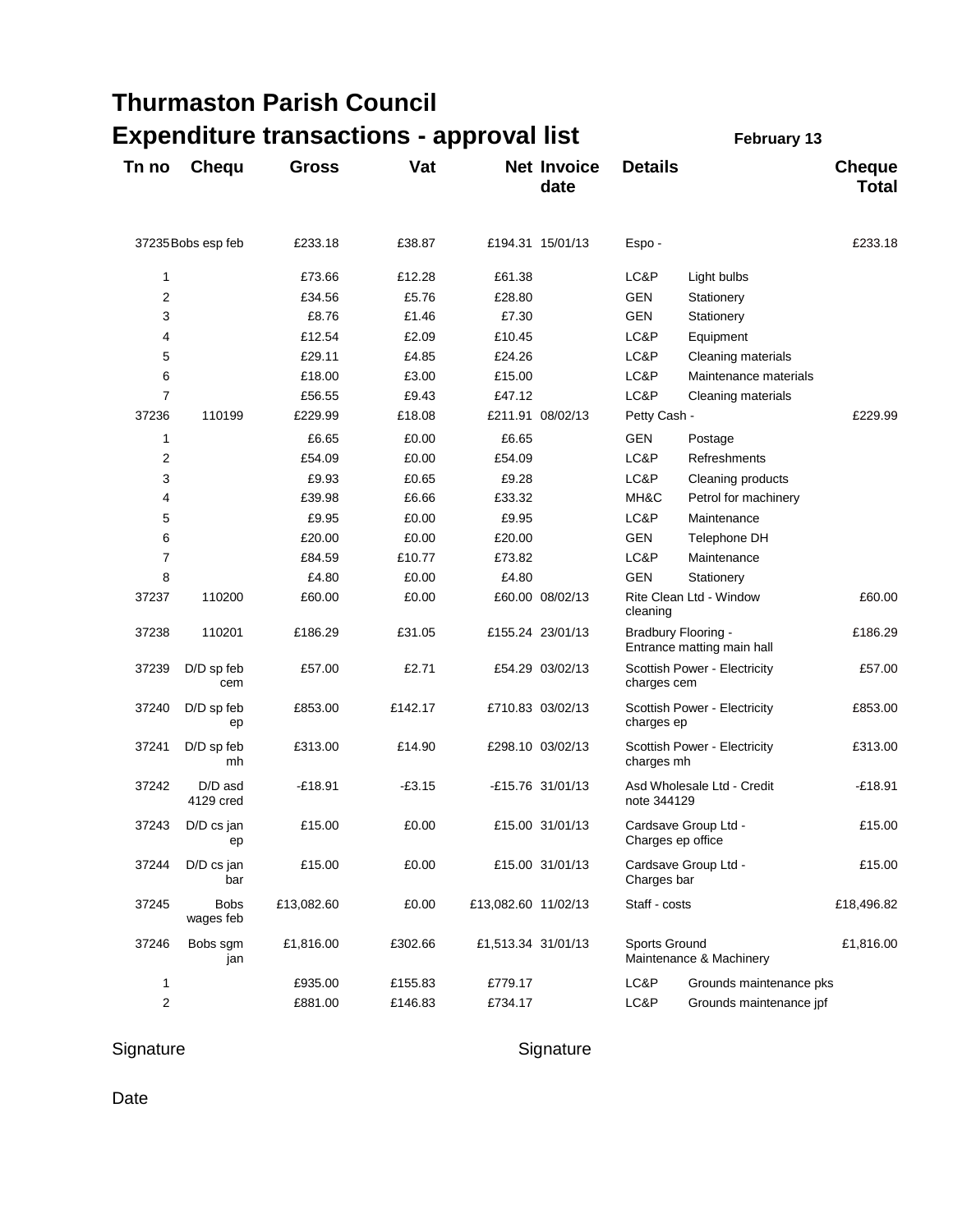## **Thurmaston Parish Council**

|       |                          | <b>Expenditure transactions - approval list</b> |          |                     |                            |                                                   | February 13             |                               |
|-------|--------------------------|-------------------------------------------------|----------|---------------------|----------------------------|---------------------------------------------------|-------------------------|-------------------------------|
| Tn no | <b>Chequ</b>             | <b>Gross</b>                                    | Vat      |                     | <b>Net Invoice</b><br>date | <b>Details</b>                                    |                         | <b>Cheque</b><br><b>Total</b> |
|       | 37235 Bobs esp feb       | £233.18                                         | £38.87   |                     | £194.31 15/01/13           | Espo-                                             |                         | £233.18                       |
| 1     |                          | £73.66                                          | £12.28   | £61.38              |                            | LC&P                                              | Light bulbs             |                               |
| 2     |                          | £34.56                                          | £5.76    | £28.80              |                            | GEN                                               | Stationery              |                               |
| 3     |                          | £8.76                                           | £1.46    | £7.30               |                            | <b>GEN</b>                                        | Stationery              |                               |
| 4     |                          | £12.54                                          | £2.09    | £10.45              |                            | LC&P                                              | Equipment               |                               |
| 5     |                          | £29.11                                          | £4.85    | £24.26              |                            | LC&P                                              | Cleaning materials      |                               |
| 6     |                          | £18.00                                          | £3.00    | £15.00              |                            | LC&P                                              | Maintenance materials   |                               |
| 7     |                          | £56.55                                          | £9.43    | £47.12              |                            | LC&P                                              | Cleaning materials      |                               |
| 37236 | 110199                   | £229.99                                         | £18.08   |                     | £211.91 08/02/13           | Petty Cash -                                      |                         | £229.99                       |
| 1     |                          | £6.65                                           | £0.00    | £6.65               |                            | GEN                                               | Postage                 |                               |
| 2     |                          | £54.09                                          | £0.00    | £54.09              |                            | LC&P                                              | Refreshments            |                               |
| 3     |                          | £9.93                                           | £0.65    | £9.28               |                            | LC&P                                              | Cleaning products       |                               |
| 4     |                          | £39.98                                          | £6.66    | £33.32              |                            | MH&C                                              | Petrol for machinery    |                               |
| 5     |                          | £9.95                                           | £0.00    | £9.95               |                            | LC&P                                              | Maintenance             |                               |
| 6     |                          | £20.00                                          | £0.00    | £20.00              |                            | <b>GEN</b>                                        | Telephone DH            |                               |
| 7     |                          | £84.59                                          | £10.77   | £73.82              |                            | LC&P                                              | Maintenance             |                               |
| 8     |                          | £4.80                                           | £0.00    | £4.80               |                            | GEN                                               | Stationery              |                               |
| 37237 | 110200                   | £60.00                                          | £0.00    |                     | £60.00 08/02/13            | cleaning                                          | Rite Clean Ltd - Window | £60.00                        |
| 37238 | 110201                   | £186.29                                         | £31.05   |                     | £155.24 23/01/13           | Bradbury Flooring -<br>Entrance matting main hall |                         | £186.29                       |
| 37239 | D/D sp feb<br>cem        | £57.00                                          | £2.71    |                     | £54.29 03/02/13            | Scottish Power - Electricity<br>charges cem       |                         | £57.00                        |
| 37240 | D/D sp feb<br>ep         | £853.00                                         | £142.17  |                     | £710.83 03/02/13           | Scottish Power - Electricity<br>charges ep        |                         | £853.00                       |
| 37241 | D/D sp feb<br>mh         | £313.00                                         | £14.90   |                     | £298.10 03/02/13           | Scottish Power - Electricity<br>charges mh        |                         | £313.00                       |
| 37242 | $D/D$ asd<br>4129 cred   | $-£18.91$                                       | $-£3.15$ |                     | -£15.76 31/01/13           | Asd Wholesale Ltd - Credit<br>note 344129         |                         | $-£18.91$                     |
| 37243 | D/D cs jan<br>ep         | £15.00                                          | £0.00    |                     | £15.00 31/01/13            | Cardsave Group Ltd -<br>Charges ep office         |                         | £15.00                        |
| 37244 | $D/D$ cs jan<br>bar      | £15.00                                          | £0.00    |                     | £15.00 31/01/13            | Cardsave Group Ltd -<br>Charges bar               |                         | £15.00                        |
| 37245 | <b>Bobs</b><br>wages feb | £13,082.60                                      | £0.00    | £13,082.60 11/02/13 |                            | Staff - costs                                     |                         | £18,496.82                    |
| 37246 | Bobs sgm<br>jan          | £1,816.00                                       | £302.66  | £1,513.34 31/01/13  |                            | Sports Ground<br>Maintenance & Machinery          |                         | £1,816.00                     |
| 1     |                          | £935.00                                         | £155.83  | £779.17             |                            | LC&P                                              | Grounds maintenance pks |                               |
| 2     |                          | £881.00                                         | £146.83  | £734.17             |                            | LC&P                                              | Grounds maintenance jpf |                               |

Signature Signature Signature